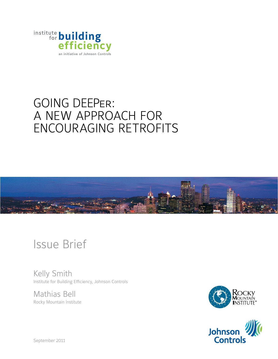

## Going DEEPer: A new approach for encouraging retrofits



# Issue Brief

Kelly Smith Institute for Building Efficiency, Johnson Controls

Mathias Bell Rocky Mountain Institute



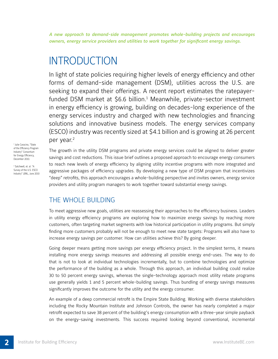*A new approach to demand-side management promotes whole-building projects and encourages owners, energy service providers and utilities to work together for significant energy savings.*

## **INTRODUCTION**

In light of state policies requiring higher levels of energy efficiency and other forms of demand-side management (DSM), utilities across the U.S. are seeking to expand their offerings. A recent report estimates the ratepayerfunded DSM market at \$6.6 billion.<sup>1</sup> Meanwhile, private-sector investment in energy efficiency is growing, building on decades-long experience of the energy services industry and charged with new technologies and financing solutions and innovative business models. The energy services company (ESCO) industry was recently sized at \$4.1 billion and is growing at 26 percent per year.<sup>2</sup>

1 Julie Caracino, "State of the Efficiency Program Industry" Consortium for Energy Efficiency, December 2010.

2 Satchwell, et. al. "A Survey of the U.S. ESCO Industry" LBNL, June 2010 The growth in the utility DSM programs and private energy services could be aligned to deliver greater savings and cost reductions. This issue brief outlines a proposed approach to encourage energy consumers to reach new levels of energy efficiency by aligning utility incentive programs with more integrated and aggressive packages of efficiency upgrades. By developing a new type of DSM program that incentivizes "deep" retrofits, this approach encourages a whole-building perspective and invites owners, energy service providers and utility program managers to work together toward substantial energy savings.

## THE WHOLE BUILDING

To meet aggressive new goals, utilities are reassessing their approaches to the efficiency business. Leaders in utility energy efficiency programs are exploring how to maximize energy savings by reaching more customers, often targeting market segments with low historical participation in utility programs. But simply finding more customers probably will not be enough to meet new state targets: Programs will also have to increase energy savings per customer. How can utilities achieve this? By going deeper.

Going deeper means getting more savings per energy efficiency project. In the simplest terms, it means installing more energy savings measures and addressing all possible energy end-uses. The way to do that is not to look at individual technologies incrementally, but to combine technologies and optimize the performance of the building as a whole. Through this approach, an individual building could realize 30 to 50 percent energy savings, whereas the single-technology approach most utility rebate programs use generally yields 1 and 5 percent whole-building savings. Thus bundling of energy savings measures significantly improves the outcome for the utility and the energy consumer.

An example of a deep commercial retrofit is the Empire State Building. Working with diverse stakeholders including the Rocky Mountain Institute and Johnson Controls, the owner has nearly completed a major retrofit expected to save 38 percent of the building's energy consumption with a three-year simple payback on the energy-saving investments. This success required looking beyond conventional, incremental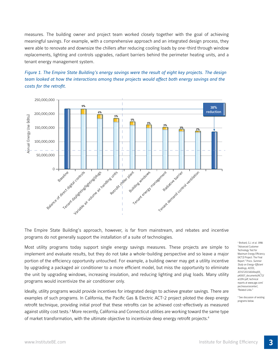measures. The building owner and project team worked closely together with the goal of achieving meaningful savings. For example, with a comprehensive approach and an integrated design process, they were able to renovate and downsize the chillers after reducing cooling loads by one-third through window replacements, lighting and controls upgrades, radiant barriers behind the perimeter heating units, and a tenant energy management system.





The Empire State Building's approach, however, is far from mainstream, and rebates and incentive programs do not generally support the installation of a suite of technologies.

Most utility programs today support single energy savings measures. These projects are simple to implement and evaluate results, but they do not take a whole-building perspective and so leave a major portion of the efficiency opportunity untouched. For example, a building owner may get a utility incentive by upgrading a packaged air conditioner to a more efficient model, but miss the opportunity to eliminate the unit by upgrading windows, increasing insulation, and reducing lighting and plug loads. Many utility programs would incentivize the air conditioner only.

Ideally, utility programs would provide incentives for integrated design to achieve greater savings. There are examples of such programs. In California, the Pacific Gas & Electric ACT-2 project piloted the deep energy retrofit technique, providing initial proof that these retrofits can be achieved cost-effectively as measured against utility cost tests.<sup>3</sup> More recently, California and Connecticut utilities are working toward the same type of market transformation, with the ultimate objective to incentivize deep energy retrofit projects.4

3 Brohard, G.J. et al. 1998: "Advanced Customer Technology Test for Maximum Energy Efficiency (ACT2) Project: The Final Report." Procs. *Summer Study on Energy-Efficient Buildings,* ACEEE, 207.67.203.54/elibsql05\_ p40007\_documents/ACT2/ act2fnl.pdf; technical reports at www.pge.com/ pec/resourcecenter/, "Related Links."

4 See discussion of existing programs below.

**3**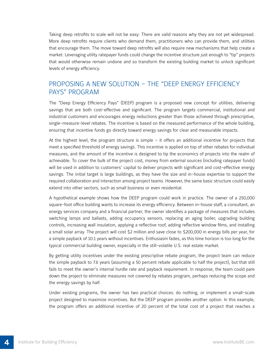Taking deep retrofits to scale will not be easy: There are valid reasons why they are not yet widespread. More deep retrofits require clients who demand them, practitioners who can provide them, and utilities that encourage them. The move toward deep retrofits will also require new mechanisms that help create a market. Leveraging utility ratepayer funds could change the incentive structure just enough to "tip" projects that would otherwise remain undone and so transform the existing building market to unlock significant levels of energy efficiency.

## Proposing a new solution – the "Deep Energy Efficiency Pays" Program

The "Deep Energy Efficiency Pays" (DEEP) program is a proposed new concept for utilities, delivering savings that are both cost-effective and significant. The program targets commercial, institutional and industrial customers and encourages energy reductions greater than those achieved through prescriptive, single-measure-level rebates. The incentive is based on the measured performance of the whole building, ensuring that incentive funds go directly toward energy savings for clear and measurable impacts.

At the highest level, the program structure is simple – it offers an additional incentive for projects that meet a specified threshold of energy savings. This incentive is applied on top of other rebates for individual measures, and the amount of the incentive is designed to tip the economics of projects into the realm of achievable. To cover the bulk of the project cost, money from external sources (including ratepayer funds) will be used in addition to customers' capital to deliver projects with significant and cost-effective energy savings. The initial target is large buildings, as they have the size and in-house expertise to support the required collaboration and interaction among project teams. However, the same basic structure could easily extend into other sectors, such as small business or even residential.

A hypothetical example shows how the DEEP program could work in practice. The owner of a 250,000 square-foot office building wants to increase its energy efficiency. Between in-house staff, a consultant, an energy services company and a financial partner, the owner identifies a package of measures that includes switching lamps and ballasts, adding occupancy sensors, replacing an aging boiler, upgrading building controls, increasing wall insulation, applying a reflective roof, adding reflective window films, and installing a small solar array. The project will cost \$2 million and save close to \$200,000 in energy bills per year, for a simple payback of 10.1 years without incentives. Enthusiasm fades, as this time horizon is too long for the typical commercial building owner, especially in the still-volatile U.S. real estate market.

By getting utility incentives under the existing prescriptive rebate program, the project team can reduce the simple payback to 7.6 years (assuming a 50 percent rebate applicable to half the project), but that still fails to meet the owner's internal hurdle rate and payback requirement. In response, the team could pare down the project to eliminate measures not covered by rebates program, perhaps reducing the scope and the energy savings by half.

Under existing programs, the owner has two practical choices: do nothing, or implement a small-scale project designed to maximize incentives. But the DEEP program provides another option. In this example, the program offers an additional incentive of 20 percent of the total cost of a project that reaches a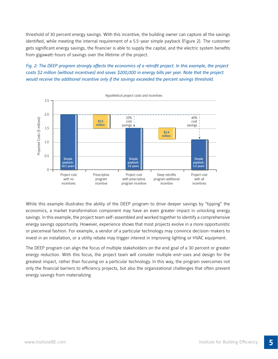threshold of 30 percent energy savings. With this incentive, the building owner can capture all the savings identified, while meeting the internal requirement of a 5.5-year simple payback (Figure 2). The customer gets significant energy savings, the financier is able to supply the capital, and the electric system benefits from gigawatt-hours of savings over the lifetime of the project.

*Fig. 2: The DEEP program strongly affects the economics of a retrofit project. In this example, the project costs \$2 million (without incentives) and saves \$200,000 in energy bills per year. Note that the project would receive the additional incentive only if the savings exceeded the percent savings threshold.* 



While this example illustrates the ability of the DEEP program to drive deeper savings by "tipping" the economics, a market transformation component may have an even greater impact in unlocking energy savings. In this example, the project team self-assembled and worked together to identify a comprehensive energy savings opportunity. However, experience shows that most projects evolve in a more opportunistic or piecemeal fashion. For example, a vendor of a particular technology may convince decision-makers to invest in an installation, or a utility rebate may trigger interest in improving lighting or HVAC equipment.

The DEEP program can align the focus of multiple stakeholders on the end goal of a 30 percent or greater energy reduction. With this focus, the project team will consider multiple end-uses and design for the greatest impact, rather than focusing on a particular technology. In this way, the program overcomes not only the financial barriers to efficiency projects, but also the organizational challenges that often prevent energy savings from materializing.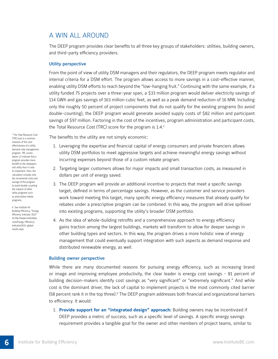## A win all around

The DEEP program provides clear benefits to all three key groups of stakeholders: utilities, building owners, and third-party efficiency providers.

#### Utility perspective

From the point of view of utility DSM managers and their regulators, the DEEP program meets regulator and internal criteria for a DSM effort. The program allows access to more savings in a cost-effective manner, enabling utility DSM efforts to reach beyond the "low-hanging fruit." Continuing with the same example, if a utility funded 75 projects over a three-year span, a \$33 million program would deliver electricity savings of 114 GWh and gas savings of 163 million cubic feet, as well as a peak demand reduction of 16 MW. Including only the roughly 50 percent of project components that do not qualify for the existing programs (to avoid double-counting), the DEEP program would generate avoided supply costs of \$82 million and participant savings of \$97 million. Factoring in the cost of the incentives, program administration and participant costs, the Total Resource Cost (TRC) score for the program is 1.4.<sup>5</sup>

The benefits to the utility are not simply economic:

- 1. Leveraging the expertise and financial capital of energy consumers and private financiers allows utility DSM portfolios to meet aggressive targets and achieve meaningful energy savings without incurring expenses beyond those of a custom rebate program.
- 2. Targeting larger customers allows for major impacts and small transaction costs, as measured in dollars per unit of energy saved.
- 3. The DEEP program will provide an additional incentive to projects that meet a specific savings target, defined in terms of percentage savings. However, as the customer and service providers work toward meeting this target, many specific energy efficiency measures that already qualify for rebates under a prescriptive program can be combined. In this way, the program will drive spillover into existing programs, supporting the utility's broader DSM portfolio.
- 4. As the idea of whole-building retrofits and a comprehensive approach to energy efficiency gains traction among the largest buildings, markets will transform to allow for deeper savings in other building types and sectors. In this way, the program drives a more holistic view of energy management that could eventually support integration with such aspects as demand response and distributed renewable energy, as well.

#### Building owner perspective

While there are many documented reasons for pursuing energy efficiency, such as increasing brand or image and improving employee productivity, the clear leader is energy cost savings - 81 percent of building decision-makers identify cost savings as "very significant" or "extremely significant." And while cost is the dominant driver, the lack of capital to implement projects is the most commonly cited barrier (58 percent rank it in the top three).<sup>6</sup> The DEEP program addresses both financial and organizational barriers to efficiency. It would:

1. **Provide support for an "integrated design" approach:** Building owners may be incentivized if DEEP provides a metric of success, such as a specific level of savings. A specific energy savings requirement provides a tangible goal for the owner and other members of project teams, similar to

<sup>5</sup> The Total Resource Cost (TRC) test is a common measure of the costeffectiveness of a utility demand-side management program. TRC scores above 1.0 indicate that a program provides more benefit to the ratepayers and utility than it costs to implement. Here, the calculation includes only the incremental costs and savings of the program to avoid double-counting the impacts of other utility programs such as prescriptive rebate programs.

6 See Institute for Building Efficiency, "Energy Efficiency Indicator 2011" at http://www.institutebe. com/Energy-Efficiency-Indicator/2011-globalresults.aspx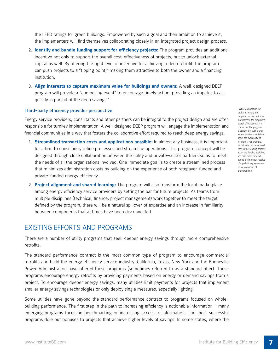the LEED ratings for green buildings. Empowered by such a goal and their ambition to achieve it, the implementers will find themselves collaborating closely in an integrated project design process.

- 2. **Identify and bundle funding support for efficiency projects:** The program provides an additional incentive not only to support the overall cost-effectiveness of projects, but to unlock external capital as well. By offering the right level of incentive for achieving a deep retrofit, the program can push projects to a "tipping point," making them attractive to both the owner and a financing institution.
- 3. **Align interests to capture maximum value for buildings and owners:** A well-designed DEEP program will provide a "compelling event" to encourage timely action, providing an impetus to act quickly in pursuit of the deep savings.<sup>7</sup>

#### Third-party efficiency provider perspective

Energy service providers, consultants and other partners can be integral to the project design and are often responsible for turnkey implementation. A well-designed DEEP program will engage the implementation and financial communities in a way that fosters the collaborative effort required to reach deep energy savings.

- 1. **Streamlined transaction costs and applications possible:** In almost any business, it is important for a firm to consciously refine processes and streamline operations. This program concept will be designed through close collaboration between the utility and private-sector partners so as to meet the needs of all the organizations involved. One immediate goal is to create a streamlined process that minimizes administration costs by building on the experience of both ratepayer-funded and private-funded energy efficiency.
- 2. **Project alignment and shared learning:** The program will also transform the local marketplace among energy efficiency service providers by setting the bar for future projects. As teams from multiple disciplines (technical, finance, project management) work together to meet the target defined by the program, there will be a natural spillover of expertise and an increase in familiarity between components that at times have been disconnected.

## Existing efforts and programs

There are a number of utility programs that seek deeper energy savings through more comprehensive retrofits.

The standard performance contract is the most common type of program to encourage commercial retrofits and build the energy efficiency service industry. California, Texas, New York and the Bonneville Power Administration have offered these programs (sometimes referred to as a standard offer). These programs encourage energy retrofits by providing payments based on energy or demand savings from a project. To encourage deeper energy savings, many utilities limit payments for projects that implement smaller energy savings technologies or only deploy single measures, especially lighting.

Some utilities have gone beyond the standard performance contract to programs focused on wholebuilding performance. The first step in the path to increasing efficiency is actionable information – many emerging programs focus on benchmarking or increasing access to information. The most successful programs dole out bonuses to projects that achieve higher levels of savings. In some states, where the

<sup>7</sup> While competition for capital is healthy and supports the market forces that increase the program's overall effectiveness, it is crucial that the program is designed in such a way as to minimize uncertainty about the availability of incentives. For example, participants can be advised early in the scoping process about the funding available, and hold funds for a set period of time upon receipt of a preliminary agreement or memorandum of understanding.

**7**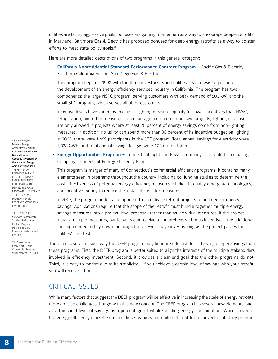utilities are facing aggressive goals, bonuses are gaining momentum as a way to encourage deeper retrofits. In Maryland, Baltimore Gas & Electric has proposed bonuses for deep energy retrofits as a way to bolster efforts to meet state policy goals.<sup>8</sup>

Here are more detailed descriptions of two programs in this general category:

• **California Nonresidential Standard Performance Contract Program –** Pacific Gas & Electric, Southern California Edison, San Diego Gas & Electric

 This program began in 1998 with the three investor-owned utilities. Its aim was to promote the development of an energy efficiency services industry in California. The program has two components: the large NSPC program, serving customers with peak demand of 500 kW, and the small SPC program, which serves all other customers.

Incentive levels have varied by end-use. Lighting measures qualify for lower incentives than HVAC, refrigeration, and other measures. To encourage more comprehensive projects, lighting incentives are only allowed in projects where at least 20 percent of energy savings come from non-lighting measures. In addition, no utility can spend more than 30 percent of its incentive budget on lighting. In 2005, there were 1,499 participants in the SPC program. Total annual savings for electricity were 1,028 GWh, and total annual savings for gas were 17.3 million therms.<sup>9</sup>

• **Energy Opportunities Program –** Connecticut Light and Power Company, The United Illuminating Company, Connecticut Energy Efficiency Fund

 This program is merger of many of Connecticut's commercial efficiency programs. It contains many elements seen in programs throughout the country, including co-funding studies to determine the cost-effectiveness of potential energy efficiency measures, studies to qualify emerging technologies, and incentive money to reduce the installed costs for measures.

In 2007, the program added a component to incentivize retrofit projects to find deeper energy savings. Applications require that the scope of the retrofit must bundle together multiple energy savings measures into a project-level proposal, rather than as individual measures. If the project installs multiple measures, participants can receive a comprehensive bonus incentive – the additional funding needed to buy down the project to a 2-year payback – as long as the project passes the utilities' cost test.

There are several reasons why the DEEP program may be more effective for achieving deeper savings than these programs. First, the DEEP program is better suited to align the interests of the multiple stakeholders involved in efficiency investment. Second, it provides a clear end goal that the other programs do not. Third, it is easy to market due to its simplicity – if you achieve a certain level of savings with your retrofit, you will receive a bonus.

### Critical issues

While many factors that suggest the DEEP program will be effective in increasing the scale of energy retrofits, there are also challenges that go with this new concept. The DEEP program has several new elements, such as a threshold level of savings as a percentage of whole-building energy consumption. While proven in the energy efficiency market, some of these features are quite different from conventional utility program

8 State of Maryland Maryland Energy Administration. "Initial Comments on Baltimore Gas and Electric Company's Programs by the Maryland Energy Administration" Re: IN THE MATTER OF BALTIMORE GAS AND ELECTRIC COMPANY'S ENERGY EFFICIENCY, CONSERVATION AND DEMAND RESPONSE PROGRAMS PURSUANT TO THE EMPOWER MARYLAND ENERGY EFFICIENCY ACT OF 2008. CASE NO. 9154.

9 Itron. 2004-2005 Statewide Nonresidential Standard Performance Contract Program Measurement and Evaluation Study. Oakland, CA: 2005.

10 GDS Associates. Connecticut Electric Conservation Programs Study. Marietta, GA: 2008.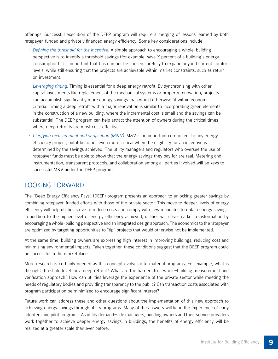offerings. Successful execution of the DEEP program will require a merging of lessons learned by both ratepayer-funded and privately financed energy efficiency. Some key considerations include:

- *Defining the threshold for the incentive.* A simple approach to encouraging a whole-building perspective is to identify a threshold savings (for example, save X percent of a building's energy consumption). It is important that this number be chosen carefully to expand beyond current comfort levels, while still ensuring that the projects are achievable within market constraints, such as return on investment.
- *Leveraging timing.* Timing is essential for a deep energy retrofit. By synchronizing with other capital investments like replacement of the mechanical systems or property renovation, projects can accomplish significantly more energy savings than would otherwise fit within economic criteria. Timing a deep retrofit with a major renovation is similar to incorporating green elements in the construction of a new building, where the incremental cost is small and the savings can be substantial. The DEEP program can help attract the attention of owners during the critical times where deep retrofits are most cost-effective.
- *Clarifying measurement and verification (M&V).* M&V is an important component to any energy efficiency project, but it becomes even more critical when the eligibility for an incentive is determined by the savings achieved. The utility managers and regulators who oversee the use of ratepayer funds must be able to show that the energy savings they pay for are real. Metering and instrumentation, transparent protocols, and collaboration among all parties involved will be keys to successful M&V under the DEEP program.

### Looking forward

The "Deep Energy Efficiency Pays" (DEEP) program presents an approach to unlocking greater savings by combining ratepayer-funded efforts with those of the private sector. This move to deeper levels of energy efficiency will help utilities strive to reduce costs and comply with new mandates to obtain energy savings. In addition to the higher level of energy efficiency achieved, utilities will drive market transformation by encouraging a whole-building perspective and an integrated design approach. The economics to the ratepayer are optimized by targeting opportunities to "tip" projects that would otherwise not be implemented.

At the same time, building owners are expressing high interest in improving buildings, reducing cost and minimizing environmental impacts. Taken together, these conditions suggest that the DEEP program could be successful in the marketplace.

More research is certainly needed as this concept evolves into material programs. For example, what is the right threshold level for a deep retrofit? What are the barriers to a whole-building measurement and verification approach? How can utilities leverage the experience of the private sector while meeting the needs of regulatory bodies and providing transparency to the public? Can transaction costs associated with program participation be minimized to encourage significant interest?

Future work can address these and other questions about the implementation of this new approach to achieving energy savings through utility programs. Many of the answers will lie in the experience of early adopters and pilot programs. As utility demand-side managers, building owners and their service providers work together to achieve deeper energy savings in buildings, the benefits of energy efficiency will be realized at a greater scale than ever before.